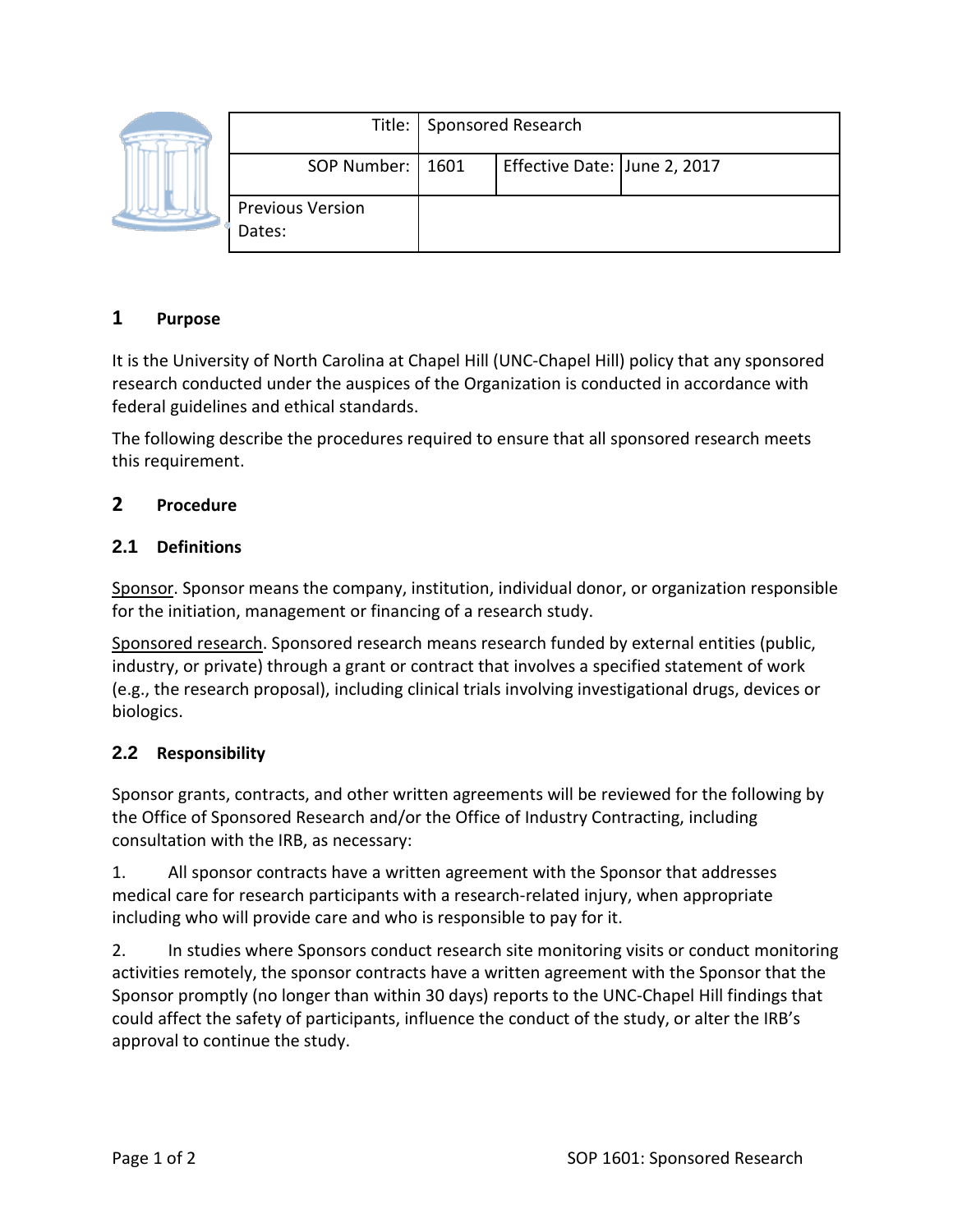|  |                                   | Title:   Sponsored Research |                              |  |
|--|-----------------------------------|-----------------------------|------------------------------|--|
|  | SOP Number:   1601                |                             | Effective Date: June 2, 2017 |  |
|  | <b>Previous Version</b><br>Dates: |                             |                              |  |

## **1 Purpose**

It is the University of North Carolina at Chapel Hill (UNC-Chapel Hill) policy that any sponsored research conducted under the auspices of the Organization is conducted in accordance with federal guidelines and ethical standards.

The following describe the procedures required to ensure that all sponsored research meets this requirement.

## **2 Procedure**

## **2.1 Definitions**

Sponsor. Sponsor means the company, institution, individual donor, or organization responsible for the initiation, management or financing of a research study.

Sponsored research. Sponsored research means research funded by external entities (public, industry, or private) through a grant or contract that involves a specified statement of work (e.g., the research proposal), including clinical trials involving investigational drugs, devices or biologics.

## **2.2 Responsibility**

Sponsor grants, contracts, and other written agreements will be reviewed for the following by the Office of Sponsored Research and/or the Office of Industry Contracting, including consultation with the IRB, as necessary:

1. All sponsor contracts have a written agreement with the Sponsor that addresses medical care for research participants with a research-related injury, when appropriate including who will provide care and who is responsible to pay for it.

2. In studies where Sponsors conduct research site monitoring visits or conduct monitoring activities remotely, the sponsor contracts have a written agreement with the Sponsor that the Sponsor promptly (no longer than within 30 days) reports to the UNC-Chapel Hill findings that could affect the safety of participants, influence the conduct of the study, or alter the IRB's approval to continue the study.